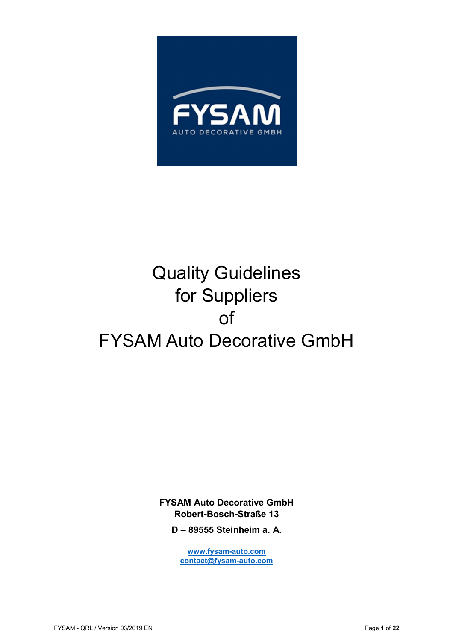

# Quality Guidelines for Suppliers of FYSAM Auto Decorative GmbH

**FYSAM Auto Decorative GmbH Robert-Bosch-Straße 13** 

**D – 89555 Steinheim a. A.** 

**www.fysam-auto.com contact@fysam-auto.com**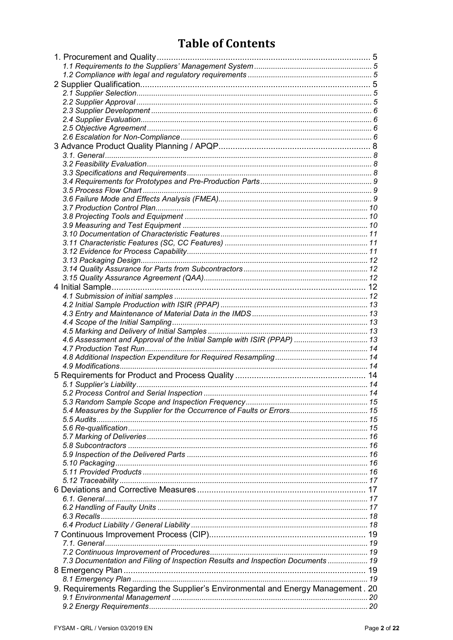# **Table of Contents**

| 4.6 Assessment and Approval of the Initial Sample with ISIR (PPAP)  13           |  |
|----------------------------------------------------------------------------------|--|
|                                                                                  |  |
|                                                                                  |  |
|                                                                                  |  |
|                                                                                  |  |
|                                                                                  |  |
|                                                                                  |  |
|                                                                                  |  |
| 5.4 Measures by the Supplier for the Occurrence of Faults or Errors 15           |  |
|                                                                                  |  |
|                                                                                  |  |
|                                                                                  |  |
|                                                                                  |  |
|                                                                                  |  |
|                                                                                  |  |
|                                                                                  |  |
|                                                                                  |  |
|                                                                                  |  |
|                                                                                  |  |
|                                                                                  |  |
|                                                                                  |  |
|                                                                                  |  |
|                                                                                  |  |
|                                                                                  |  |
| 7.3 Documentation and Filing of Inspection Results and Inspection Documents  19  |  |
|                                                                                  |  |
|                                                                                  |  |
|                                                                                  |  |
| 9. Requirements Regarding the Supplier's Environmental and Energy Management. 20 |  |
|                                                                                  |  |
|                                                                                  |  |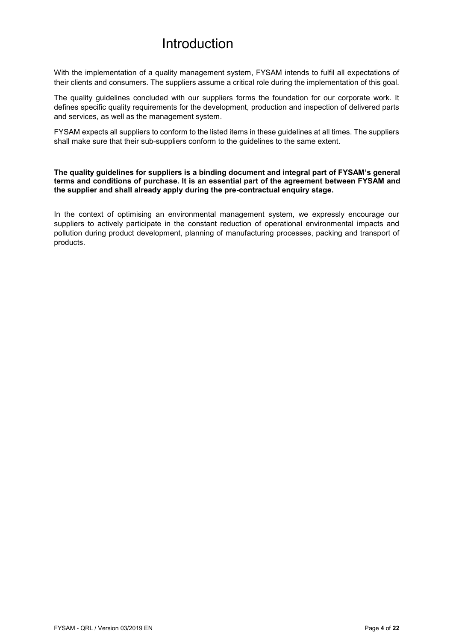# Introduction

With the implementation of a quality management system, FYSAM intends to fulfil all expectations of their clients and consumers. The suppliers assume a critical role during the implementation of this goal.

The quality guidelines concluded with our suppliers forms the foundation for our corporate work. It defines specific quality requirements for the development, production and inspection of delivered parts and services, as well as the management system.

FYSAM expects all suppliers to conform to the listed items in these guidelines at all times. The suppliers shall make sure that their sub-suppliers conform to the guidelines to the same extent.

#### **The quality guidelines for suppliers is a binding document and integral part of FYSAM's general terms and conditions of purchase. It is an essential part of the agreement between FYSAM and the supplier and shall already apply during the pre-contractual enquiry stage.**

In the context of optimising an environmental management system, we expressly encourage our suppliers to actively participate in the constant reduction of operational environmental impacts and pollution during product development, planning of manufacturing processes, packing and transport of products.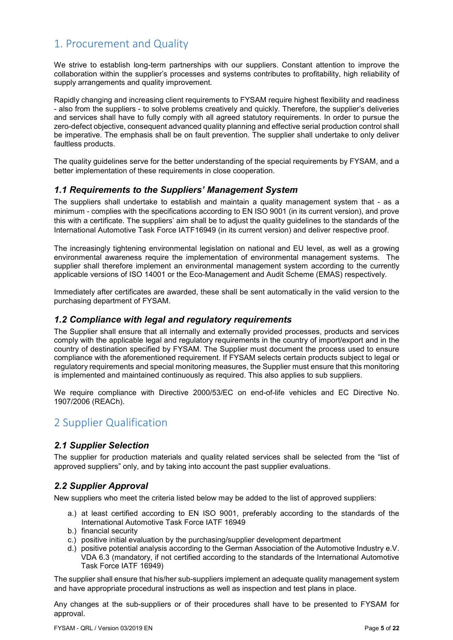# 1. Procurement and Quality

We strive to establish long-term partnerships with our suppliers. Constant attention to improve the collaboration within the supplier's processes and systems contributes to profitability, high reliability of supply arrangements and quality improvement.

Rapidly changing and increasing client requirements to FYSAM require highest flexibility and readiness - also from the suppliers - to solve problems creatively and quickly. Therefore, the supplier's deliveries and services shall have to fully comply with all agreed statutory requirements. In order to pursue the zero-defect objective, consequent advanced quality planning and effective serial production control shall be imperative. The emphasis shall be on fault prevention. The supplier shall undertake to only deliver faultless products.

The quality guidelines serve for the better understanding of the special requirements by FYSAM, and a better implementation of these requirements in close cooperation.

#### *1.1 Requirements to the Suppliers' Management System*

The suppliers shall undertake to establish and maintain a quality management system that - as a minimum - complies with the specifications according to EN ISO 9001 (in its current version), and prove this with a certificate. The suppliers' aim shall be to adjust the quality guidelines to the standards of the International Automotive Task Force IATF16949 (in its current version) and deliver respective proof.

The increasingly tightening environmental legislation on national and EU level, as well as a growing environmental awareness require the implementation of environmental management systems. The supplier shall therefore implement an environmental management system according to the currently applicable versions of ISO 14001 or the Eco-Management and Audit Scheme (EMAS) respectively.

Immediately after certificates are awarded, these shall be sent automatically in the valid version to the purchasing department of FYSAM.

#### *1.2 Compliance with legal and regulatory requirements*

The Supplier shall ensure that all internally and externally provided processes, products and services comply with the applicable legal and regulatory requirements in the country of import/export and in the country of destination specified by FYSAM. The Supplier must document the process used to ensure compliance with the aforementioned requirement. If FYSAM selects certain products subject to legal or regulatory requirements and special monitoring measures, the Supplier must ensure that this monitoring is implemented and maintained continuously as required. This also applies to sub suppliers.

We require compliance with Directive 2000/53/EC on end-of-life vehicles and EC Directive No. 1907/2006 (REACh).

### 2 Supplier Qualification

#### *2.1 Supplier Selection*

The supplier for production materials and quality related services shall be selected from the "list of approved suppliers" only, and by taking into account the past supplier evaluations.

#### *2.2 Supplier Approval*

New suppliers who meet the criteria listed below may be added to the list of approved suppliers:

- a.) at least certified according to EN ISO 9001, preferably according to the standards of the International Automotive Task Force IATF 16949
- b.) financial security
- c.) positive initial evaluation by the purchasing/supplier development department
- d.) positive potential analysis according to the German Association of the Automotive Industry e.V. VDA 6.3 (mandatory, if not certified according to the standards of the International Automotive Task Force IATF 16949)

The supplier shall ensure that his/her sub-suppliers implement an adequate quality management system and have appropriate procedural instructions as well as inspection and test plans in place.

Any changes at the sub-suppliers or of their procedures shall have to be presented to FYSAM for approval.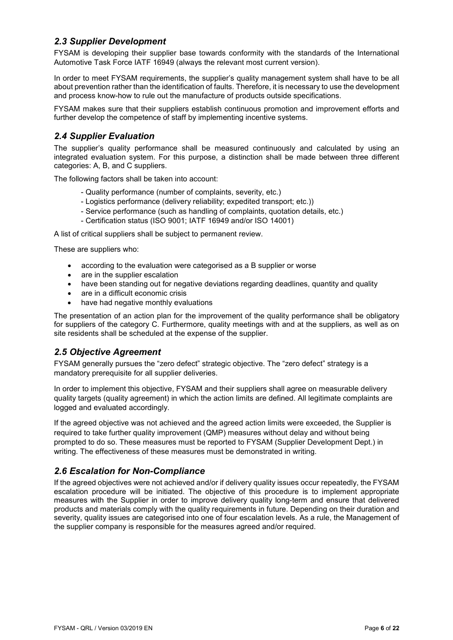#### *2.3 Supplier Development*

FYSAM is developing their supplier base towards conformity with the standards of the International Automotive Task Force IATF 16949 (always the relevant most current version).

In order to meet FYSAM requirements, the supplier's quality management system shall have to be all about prevention rather than the identification of faults. Therefore, it is necessary to use the development and process know-how to rule out the manufacture of products outside specifications.

FYSAM makes sure that their suppliers establish continuous promotion and improvement efforts and further develop the competence of staff by implementing incentive systems.

#### *2.4 Supplier Evaluation*

The supplier's quality performance shall be measured continuously and calculated by using an integrated evaluation system. For this purpose, a distinction shall be made between three different categories: A, B, and C suppliers.

The following factors shall be taken into account:

- Quality performance (number of complaints, severity, etc.)
- Logistics performance (delivery reliability; expedited transport; etc.))
- Service performance (such as handling of complaints, quotation details, etc.)
- Certification status (ISO 9001; IATF 16949 and/or ISO 14001)

A list of critical suppliers shall be subject to permanent review.

These are suppliers who:

- according to the evaluation were categorised as a B supplier or worse
- are in the supplier escalation
- have been standing out for negative deviations regarding deadlines, quantity and quality
- are in a difficult economic crisis
- have had negative monthly evaluations

The presentation of an action plan for the improvement of the quality performance shall be obligatory for suppliers of the category C. Furthermore, quality meetings with and at the suppliers, as well as on site residents shall be scheduled at the expense of the supplier.

#### *2.5 Objective Agreement*

FYSAM generally pursues the "zero defect" strategic objective. The "zero defect" strategy is a mandatory prerequisite for all supplier deliveries.

In order to implement this objective, FYSAM and their suppliers shall agree on measurable delivery quality targets (quality agreement) in which the action limits are defined. All legitimate complaints are logged and evaluated accordingly.

If the agreed objective was not achieved and the agreed action limits were exceeded, the Supplier is required to take further quality improvement (QMP) measures without delay and without being prompted to do so. These measures must be reported to FYSAM (Supplier Development Dept.) in writing. The effectiveness of these measures must be demonstrated in writing.

#### *2.6 Escalation for Non-Compliance*

If the agreed objectives were not achieved and/or if delivery quality issues occur repeatedly, the FYSAM escalation procedure will be initiated. The objective of this procedure is to implement appropriate measures with the Supplier in order to improve delivery quality long-term and ensure that delivered products and materials comply with the quality requirements in future. Depending on their duration and severity, quality issues are categorised into one of four escalation levels. As a rule, the Management of the supplier company is responsible for the measures agreed and/or required.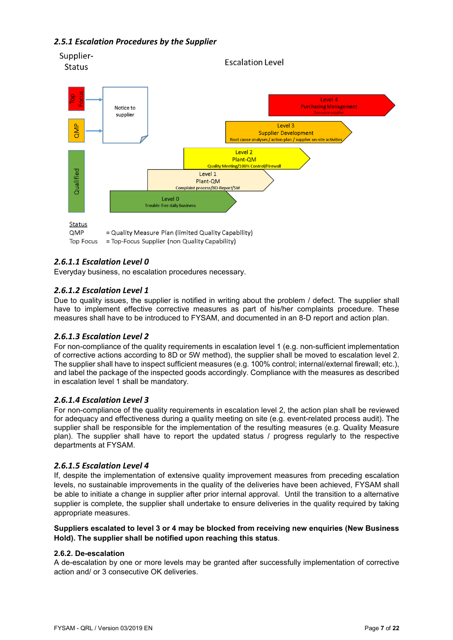#### *2.5.1 Escalation Procedures by the Supplier*



= Top-Focus Supplier (non Quality Capability) **Top Focus** 

#### *2.6.1.1 Escalation Level 0*

Everyday business, no escalation procedures necessary.

#### *2.6.1.2 Escalation Level 1*

Due to quality issues, the supplier is notified in writing about the problem / defect. The supplier shall have to implement effective corrective measures as part of his/her complaints procedure. These measures shall have to be introduced to FYSAM, and documented in an 8-D report and action plan.

#### *2.6.1.3 Escalation Level 2*

For non-compliance of the quality requirements in escalation level 1 (e.g. non-sufficient implementation of corrective actions according to 8D or 5W method), the supplier shall be moved to escalation level 2. The supplier shall have to inspect sufficient measures (e.g. 100% control; internal/external firewall; etc.), and label the package of the inspected goods accordingly. Compliance with the measures as described in escalation level 1 shall be mandatory.

#### *2.6.1.4 Escalation Level 3*

For non-compliance of the quality requirements in escalation level 2, the action plan shall be reviewed for adequacy and effectiveness during a quality meeting on site (e.g. event-related process audit). The supplier shall be responsible for the implementation of the resulting measures (e.g. Quality Measure plan). The supplier shall have to report the updated status / progress regularly to the respective departments at FYSAM.

#### *2.6.1.5 Escalation Level 4*

If, despite the implementation of extensive quality improvement measures from preceding escalation levels, no sustainable improvements in the quality of the deliveries have been achieved, FYSAM shall be able to initiate a change in supplier after prior internal approval. Until the transition to a alternative supplier is complete, the supplier shall undertake to ensure deliveries in the quality required by taking appropriate measures.

#### **Suppliers escalated to level 3 or 4 may be blocked from receiving new enquiries (New Business Hold). The supplier shall be notified upon reaching this status**.

#### **2.6.2. De-escalation**

A de-escalation by one or more levels may be granted after successfully implementation of corrective action and/ or 3 consecutive OK deliveries.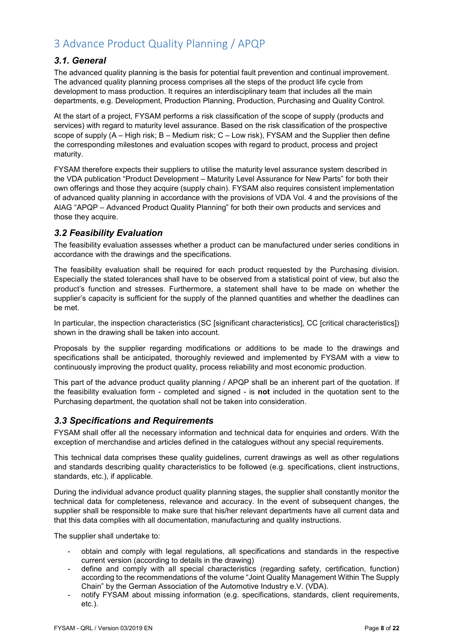# 3 Advance Product Quality Planning / APQP

#### *3.1. General*

The advanced quality planning is the basis for potential fault prevention and continual improvement. The advanced quality planning process comprises all the steps of the product life cycle from development to mass production. It requires an interdisciplinary team that includes all the main departments, e.g. Development, Production Planning, Production, Purchasing and Quality Control.

At the start of a project, FYSAM performs a risk classification of the scope of supply (products and services) with regard to maturity level assurance. Based on the risk classification of the prospective scope of supply (A – High risk; B – Medium risk; C – Low risk), FYSAM and the Supplier then define the corresponding milestones and evaluation scopes with regard to product, process and project maturity.

FYSAM therefore expects their suppliers to utilise the maturity level assurance system described in the VDA publication "Product Development – Maturity Level Assurance for New Parts" for both their own offerings and those they acquire (supply chain). FYSAM also requires consistent implementation of advanced quality planning in accordance with the provisions of VDA Vol. 4 and the provisions of the AIAG "APQP – Advanced Product Quality Planning" for both their own products and services and those they acquire.

#### *3.2 Feasibility Evaluation*

The feasibility evaluation assesses whether a product can be manufactured under series conditions in accordance with the drawings and the specifications.

The feasibility evaluation shall be required for each product requested by the Purchasing division. Especially the stated tolerances shall have to be observed from a statistical point of view, but also the product's function and stresses. Furthermore, a statement shall have to be made on whether the supplier's capacity is sufficient for the supply of the planned quantities and whether the deadlines can be met.

In particular, the inspection characteristics (SC [significant characteristics], CC [critical characteristics]) shown in the drawing shall be taken into account.

Proposals by the supplier regarding modifications or additions to be made to the drawings and specifications shall be anticipated, thoroughly reviewed and implemented by FYSAM with a view to continuously improving the product quality, process reliability and most economic production.

This part of the advance product quality planning / APQP shall be an inherent part of the quotation. If the feasibility evaluation form - completed and signed - is **not** included in the quotation sent to the Purchasing department, the quotation shall not be taken into consideration.

#### *3.3 Specifications and Requirements*

FYSAM shall offer all the necessary information and technical data for enquiries and orders. With the exception of merchandise and articles defined in the catalogues without any special requirements.

This technical data comprises these quality guidelines, current drawings as well as other regulations and standards describing quality characteristics to be followed (e.g. specifications, client instructions, standards, etc.), if applicable.

During the individual advance product quality planning stages, the supplier shall constantly monitor the technical data for completeness, relevance and accuracy. In the event of subsequent changes, the supplier shall be responsible to make sure that his/her relevant departments have all current data and that this data complies with all documentation, manufacturing and quality instructions.

The supplier shall undertake to:

- obtain and comply with legal regulations, all specifications and standards in the respective current version (according to details in the drawing)
- define and comply with all special characteristics (regarding safety, certification, function) according to the recommendations of the volume "Joint Quality Management Within The Supply Chain" by the German Association of the Automotive Industry e.V. (VDA).
- notify FYSAM about missing information (e.g. specifications, standards, client requirements, etc.).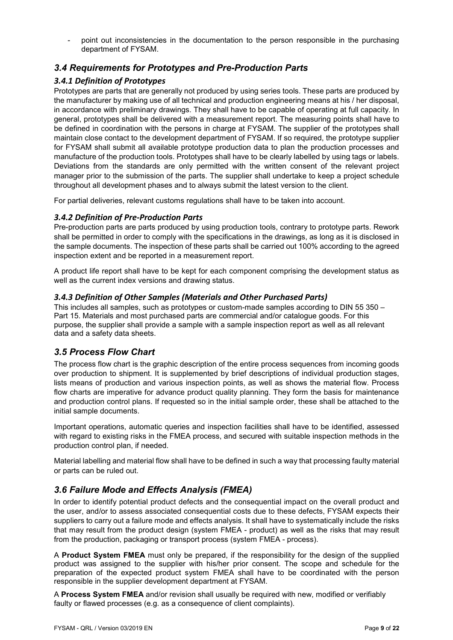- point out inconsistencies in the documentation to the person responsible in the purchasing department of FYSAM.

#### *3.4 Requirements for Prototypes and Pre-Production Parts*

#### *3.4.1 Definition of Prototypes*

Prototypes are parts that are generally not produced by using series tools. These parts are produced by the manufacturer by making use of all technical and production engineering means at his / her disposal, in accordance with preliminary drawings. They shall have to be capable of operating at full capacity. In general, prototypes shall be delivered with a measurement report. The measuring points shall have to be defined in coordination with the persons in charge at FYSAM. The supplier of the prototypes shall maintain close contact to the development department of FYSAM. If so required, the prototype supplier for FYSAM shall submit all available prototype production data to plan the production processes and manufacture of the production tools. Prototypes shall have to be clearly labelled by using tags or labels. Deviations from the standards are only permitted with the written consent of the relevant project manager prior to the submission of the parts. The supplier shall undertake to keep a project schedule throughout all development phases and to always submit the latest version to the client.

For partial deliveries, relevant customs regulations shall have to be taken into account.

#### *3.4.2 Definition of Pre-Production Parts*

Pre-production parts are parts produced by using production tools, contrary to prototype parts. Rework shall be permitted in order to comply with the specifications in the drawings, as long as it is disclosed in the sample documents. The inspection of these parts shall be carried out 100% according to the agreed inspection extent and be reported in a measurement report.

A product life report shall have to be kept for each component comprising the development status as well as the current index versions and drawing status.

#### *3.4.3 Definition of Other Samples (Materials and Other Purchased Parts)*

This includes all samples, such as prototypes or custom-made samples according to DIN 55 350 – Part 15. Materials and most purchased parts are commercial and/or catalogue goods. For this purpose, the supplier shall provide a sample with a sample inspection report as well as all relevant data and a safety data sheets.

#### *3.5 Process Flow Chart*

The process flow chart is the graphic description of the entire process sequences from incoming goods over production to shipment. It is supplemented by brief descriptions of individual production stages, lists means of production and various inspection points, as well as shows the material flow. Process flow charts are imperative for advance product quality planning. They form the basis for maintenance and production control plans. If requested so in the initial sample order, these shall be attached to the initial sample documents.

Important operations, automatic queries and inspection facilities shall have to be identified, assessed with regard to existing risks in the FMEA process, and secured with suitable inspection methods in the production control plan, if needed.

Material labelling and material flow shall have to be defined in such a way that processing faulty material or parts can be ruled out.

#### *3.6 Failure Mode and Effects Analysis (FMEA)*

In order to identify potential product defects and the consequential impact on the overall product and the user, and/or to assess associated consequential costs due to these defects, FYSAM expects their suppliers to carry out a failure mode and effects analysis. It shall have to systematically include the risks that may result from the product design (system FMEA - product) as well as the risks that may result from the production, packaging or transport process (system FMEA - process).

A **Product System FMEA** must only be prepared, if the responsibility for the design of the supplied product was assigned to the supplier with his/her prior consent. The scope and schedule for the preparation of the expected product system FMEA shall have to be coordinated with the person responsible in the supplier development department at FYSAM.

A **Process System FMEA** and/or revision shall usually be required with new, modified or verifiably faulty or flawed processes (e.g. as a consequence of client complaints).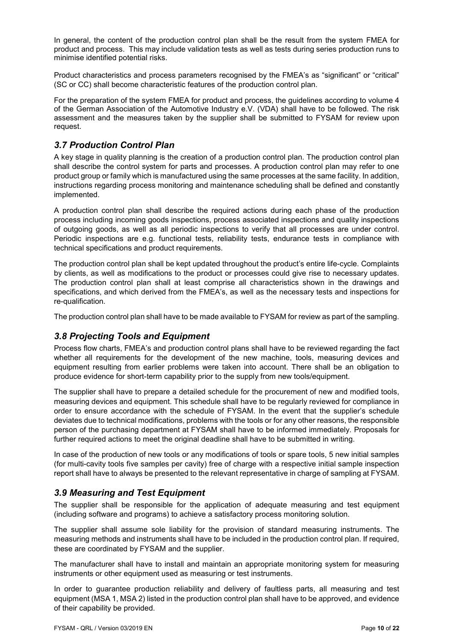In general, the content of the production control plan shall be the result from the system FMEA for product and process. This may include validation tests as well as tests during series production runs to minimise identified potential risks.

Product characteristics and process parameters recognised by the FMEA's as "significant" or "critical" (SC or CC) shall become characteristic features of the production control plan.

For the preparation of the system FMEA for product and process, the guidelines according to volume 4 of the German Association of the Automotive Industry e.V. (VDA) shall have to be followed. The risk assessment and the measures taken by the supplier shall be submitted to FYSAM for review upon request.

#### *3.7 Production Control Plan*

A key stage in quality planning is the creation of a production control plan. The production control plan shall describe the control system for parts and processes. A production control plan may refer to one product group or family which is manufactured using the same processes at the same facility. In addition, instructions regarding process monitoring and maintenance scheduling shall be defined and constantly implemented.

A production control plan shall describe the required actions during each phase of the production process including incoming goods inspections, process associated inspections and quality inspections of outgoing goods, as well as all periodic inspections to verify that all processes are under control. Periodic inspections are e.g. functional tests, reliability tests, endurance tests in compliance with technical specifications and product requirements.

The production control plan shall be kept updated throughout the product's entire life-cycle. Complaints by clients, as well as modifications to the product or processes could give rise to necessary updates. The production control plan shall at least comprise all characteristics shown in the drawings and specifications, and which derived from the FMEA's, as well as the necessary tests and inspections for re-qualification.

The production control plan shall have to be made available to FYSAM for review as part of the sampling.

#### *3.8 Projecting Tools and Equipment*

Process flow charts, FMEA's and production control plans shall have to be reviewed regarding the fact whether all requirements for the development of the new machine, tools, measuring devices and equipment resulting from earlier problems were taken into account. There shall be an obligation to produce evidence for short-term capability prior to the supply from new tools/equipment.

The supplier shall have to prepare a detailed schedule for the procurement of new and modified tools, measuring devices and equipment. This schedule shall have to be regularly reviewed for compliance in order to ensure accordance with the schedule of FYSAM. In the event that the supplier's schedule deviates due to technical modifications, problems with the tools or for any other reasons, the responsible person of the purchasing department at FYSAM shall have to be informed immediately. Proposals for further required actions to meet the original deadline shall have to be submitted in writing.

In case of the production of new tools or any modifications of tools or spare tools, 5 new initial samples (for multi-cavity tools five samples per cavity) free of charge with a respective initial sample inspection report shall have to always be presented to the relevant representative in charge of sampling at FYSAM.

#### *3.9 Measuring and Test Equipment*

The supplier shall be responsible for the application of adequate measuring and test equipment (including software and programs) to achieve a satisfactory process monitoring solution.

The supplier shall assume sole liability for the provision of standard measuring instruments. The measuring methods and instruments shall have to be included in the production control plan. If required, these are coordinated by FYSAM and the supplier.

The manufacturer shall have to install and maintain an appropriate monitoring system for measuring instruments or other equipment used as measuring or test instruments.

In order to guarantee production reliability and delivery of faultless parts, all measuring and test equipment (MSA 1, MSA 2) listed in the production control plan shall have to be approved, and evidence of their capability be provided.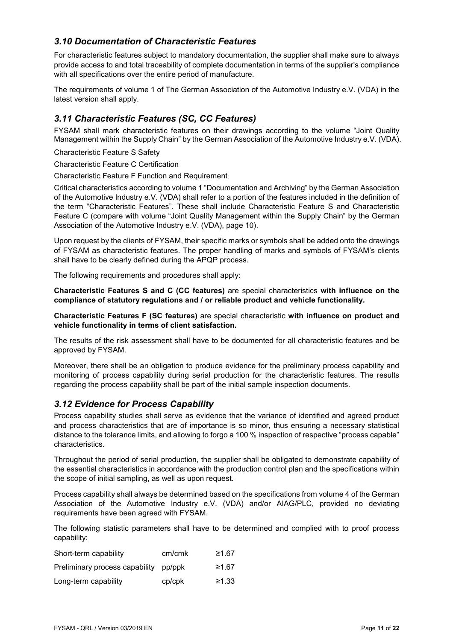#### *3.10 Documentation of Characteristic Features*

For characteristic features subject to mandatory documentation, the supplier shall make sure to always provide access to and total traceability of complete documentation in terms of the supplier's compliance with all specifications over the entire period of manufacture.

The requirements of volume 1 of The German Association of the Automotive Industry e.V. (VDA) in the latest version shall apply.

#### *3.11 Characteristic Features (SC, CC Features)*

FYSAM shall mark characteristic features on their drawings according to the volume "Joint Quality Management within the Supply Chain" by the German Association of the Automotive Industry e.V. (VDA).

Characteristic Feature S Safety

Characteristic Feature C Certification

Characteristic Feature F Function and Requirement

Critical characteristics according to volume 1 "Documentation and Archiving" by the German Association of the Automotive Industry e.V. (VDA) shall refer to a portion of the features included in the definition of the term "Characteristic Features". These shall include Characteristic Feature S and Characteristic Feature C (compare with volume "Joint Quality Management within the Supply Chain" by the German Association of the Automotive Industry e.V. (VDA), page 10).

Upon request by the clients of FYSAM, their specific marks or symbols shall be added onto the drawings of FYSAM as characteristic features. The proper handling of marks and symbols of FYSAM's clients shall have to be clearly defined during the APQP process.

The following requirements and procedures shall apply:

**Characteristic Features S and C (CC features)** are special characteristics **with influence on the compliance of statutory regulations and / or reliable product and vehicle functionality.** 

**Characteristic Features F (SC features)** are special characteristic **with influence on product and vehicle functionality in terms of client satisfaction.**

The results of the risk assessment shall have to be documented for all characteristic features and be approved by FYSAM.

Moreover, there shall be an obligation to produce evidence for the preliminary process capability and monitoring of process capability during serial production for the characteristic features. The results regarding the process capability shall be part of the initial sample inspection documents.

#### *3.12 Evidence for Process Capability*

Process capability studies shall serve as evidence that the variance of identified and agreed product and process characteristics that are of importance is so minor, thus ensuring a necessary statistical distance to the tolerance limits, and allowing to forgo a 100 % inspection of respective "process capable" characteristics.

Throughout the period of serial production, the supplier shall be obligated to demonstrate capability of the essential characteristics in accordance with the production control plan and the specifications within the scope of initial sampling, as well as upon request.

Process capability shall always be determined based on the specifications from volume 4 of the German Association of the Automotive Industry e.V. (VDA) and/or AIAG/PLC, provided no deviating requirements have been agreed with FYSAM.

The following statistic parameters shall have to be determined and complied with to proof process capability:

| Short-term capability                 | cm/cmk | ≥1.67 |
|---------------------------------------|--------|-------|
| Preliminary process capability pp/ppk |        | ≥1.67 |
| Long-term capability                  | cp/cpk | ≥1.33 |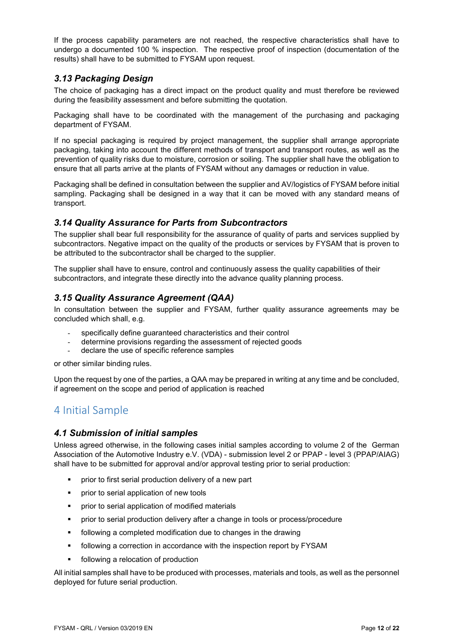If the process capability parameters are not reached, the respective characteristics shall have to undergo a documented 100 % inspection. The respective proof of inspection (documentation of the results) shall have to be submitted to FYSAM upon request.

#### *3.13 Packaging Design*

The choice of packaging has a direct impact on the product quality and must therefore be reviewed during the feasibility assessment and before submitting the quotation.

Packaging shall have to be coordinated with the management of the purchasing and packaging department of FYSAM.

If no special packaging is required by project management, the supplier shall arrange appropriate packaging, taking into account the different methods of transport and transport routes, as well as the prevention of quality risks due to moisture, corrosion or soiling. The supplier shall have the obligation to ensure that all parts arrive at the plants of FYSAM without any damages or reduction in value.

Packaging shall be defined in consultation between the supplier and AV/logistics of FYSAM before initial sampling. Packaging shall be designed in a way that it can be moved with any standard means of transport.

#### *3.14 Quality Assurance for Parts from Subcontractors*

The supplier shall bear full responsibility for the assurance of quality of parts and services supplied by subcontractors. Negative impact on the quality of the products or services by FYSAM that is proven to be attributed to the subcontractor shall be charged to the supplier.

The supplier shall have to ensure, control and continuously assess the quality capabilities of their subcontractors, and integrate these directly into the advance quality planning process.

#### *3.15 Quality Assurance Agreement (QAA)*

In consultation between the supplier and FYSAM, further quality assurance agreements may be concluded which shall, e.g.

- specifically define guaranteed characteristics and their control
- determine provisions regarding the assessment of rejected goods
- declare the use of specific reference samples

or other similar binding rules.

Upon the request by one of the parties, a QAA may be prepared in writing at any time and be concluded, if agreement on the scope and period of application is reached

### 4 Initial Sample

#### *4.1 Submission of initial samples*

Unless agreed otherwise, in the following cases initial samples according to volume 2 of the German Association of the Automotive Industry e.V. (VDA) - submission level 2 or PPAP - level 3 (PPAP/AIAG) shall have to be submitted for approval and/or approval testing prior to serial production:

- **•** prior to first serial production delivery of a new part
- **•** prior to serial application of new tools
- **•** prior to serial application of modified materials
- **•** prior to serial production delivery after a change in tools or process/procedure
- following a completed modification due to changes in the drawing
- following a correction in accordance with the inspection report by FYSAM
- following a relocation of production

All initial samples shall have to be produced with processes, materials and tools, as well as the personnel deployed for future serial production.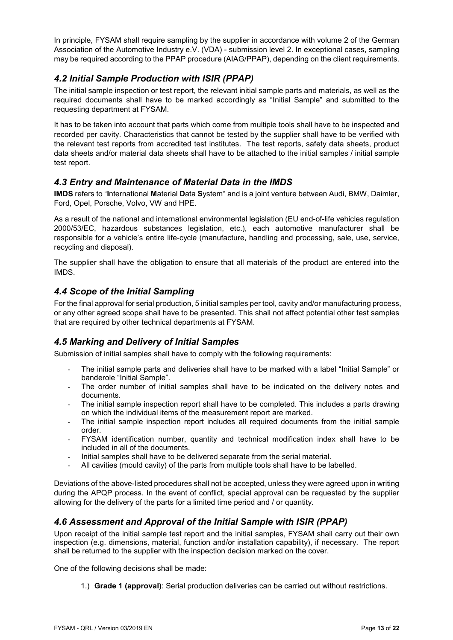In principle, FYSAM shall require sampling by the supplier in accordance with volume 2 of the German Association of the Automotive Industry e.V. (VDA) - submission level 2. In exceptional cases, sampling may be required according to the PPAP procedure (AIAG/PPAP), depending on the client requirements.

#### *4.2 Initial Sample Production with ISIR (PPAP)*

The initial sample inspection or test report, the relevant initial sample parts and materials, as well as the required documents shall have to be marked accordingly as "Initial Sample" and submitted to the requesting department at FYSAM.

It has to be taken into account that parts which come from multiple tools shall have to be inspected and recorded per cavity. Characteristics that cannot be tested by the supplier shall have to be verified with the relevant test reports from accredited test institutes. The test reports, safety data sheets, product data sheets and/or material data sheets shall have to be attached to the initial samples / initial sample test report.

#### *4.3 Entry and Maintenance of Material Data in the IMDS*

**IMDS** refers to "**I**nternational **M**aterial **D**ata **S**ystem" and is a joint venture between Audi, BMW, Daimler, Ford, Opel, Porsche, Volvo, VW and HPE.

As a result of the national and international environmental legislation (EU end-of-life vehicles regulation 2000/53/EC, hazardous substances legislation, etc.), each automotive manufacturer shall be responsible for a vehicle's entire life-cycle (manufacture, handling and processing, sale, use, service, recycling and disposal).

The supplier shall have the obligation to ensure that all materials of the product are entered into the IMDS.

#### *4.4 Scope of the Initial Sampling*

For the final approval for serial production, 5 initial samples per tool, cavity and/or manufacturing process, or any other agreed scope shall have to be presented. This shall not affect potential other test samples that are required by other technical departments at FYSAM.

#### *4.5 Marking and Delivery of Initial Samples*

Submission of initial samples shall have to comply with the following requirements:

- The initial sample parts and deliveries shall have to be marked with a label "Initial Sample" or banderole "Initial Sample".
- The order number of initial samples shall have to be indicated on the delivery notes and documents.
- The initial sample inspection report shall have to be completed. This includes a parts drawing on which the individual items of the measurement report are marked.
- The initial sample inspection report includes all required documents from the initial sample order.
- FYSAM identification number, quantity and technical modification index shall have to be included in all of the documents.
- Initial samples shall have to be delivered separate from the serial material.
- All cavities (mould cavity) of the parts from multiple tools shall have to be labelled.

Deviations of the above-listed procedures shall not be accepted, unless they were agreed upon in writing during the APQP process. In the event of conflict, special approval can be requested by the supplier allowing for the delivery of the parts for a limited time period and / or quantity.

#### *4.6 Assessment and Approval of the Initial Sample with ISIR (PPAP)*

Upon receipt of the initial sample test report and the initial samples, FYSAM shall carry out their own inspection (e.g. dimensions, material, function and/or installation capability), if necessary. The report shall be returned to the supplier with the inspection decision marked on the cover.

One of the following decisions shall be made:

1.) **Grade 1 (approval)**: Serial production deliveries can be carried out without restrictions.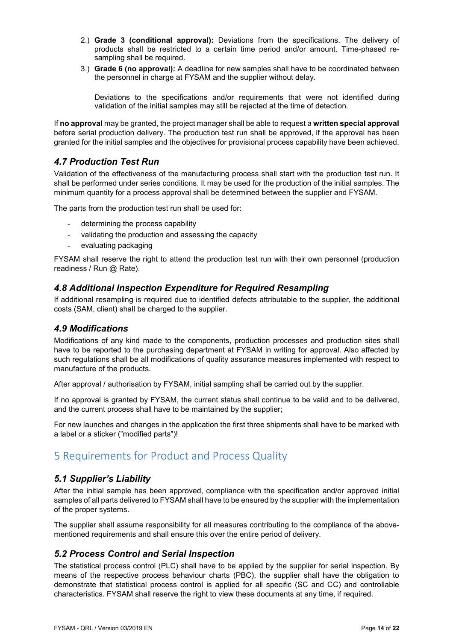- 2.) **Grade 3 (conditional approval):** Deviations from the specifications. The delivery of products shall be restricted to a certain time period and/or amount. Time-phased resampling shall be required.
- 3.) **Grade 6 (no approval):** A deadline for new samples shall have to be coordinated between the personnel in charge at FYSAM and the supplier without delay.

Deviations to the specifications and/or requirements that were not identified during validation of the initial samples may still be rejected at the time of detection.

If **no approval** may be granted, the project manager shall be able to request a **written special approval**  before serial production delivery. The production test run shall be approved, if the approval has been granted for the initial samples and the objectives for provisional process capability have been achieved.

#### *4.7 Production Test Run*

Validation of the effectiveness of the manufacturing process shall start with the production test run. It shall be performed under series conditions. It may be used for the production of the initial samples. The minimum quantity for a process approval shall be determined between the supplier and FYSAM.

The parts from the production test run shall be used for:

- determining the process capability
- validating the production and assessing the capacity
- evaluating packaging

FYSAM shall reserve the right to attend the production test run with their own personnel (production readiness / Run @ Rate).

#### *4.8 Additional Inspection Expenditure for Required Resampling*

If additional resampling is required due to identified defects attributable to the supplier, the additional costs (SAM, client) shall be charged to the supplier.

#### *4.9 Modifications*

Modifications of any kind made to the components, production processes and production sites shall have to be reported to the purchasing department at FYSAM in writing for approval. Also affected by such regulations shall be all modifications of quality assurance measures implemented with respect to manufacture of the products.

After approval / authorisation by FYSAM, initial sampling shall be carried out by the supplier.

If no approval is granted by FYSAM, the current status shall continue to be valid and to be delivered, and the current process shall have to be maintained by the supplier;

For new launches and changes in the application the first three shipments shall have to be marked with a label or a sticker ("modified parts")!

### 5 Requirements for Product and Process Quality

#### *5.1 Supplier's Liability*

After the initial sample has been approved, compliance with the specification and/or approved initial samples of all parts delivered to FYSAM shall have to be ensured by the supplier with the implementation of the proper systems.

The supplier shall assume responsibility for all measures contributing to the compliance of the abovementioned requirements and shall ensure this over the entire period of delivery.

#### *5.2 Process Control and Serial Inspection*

The statistical process control (PLC) shall have to be applied by the supplier for serial inspection. By means of the respective process behaviour charts (PBC), the supplier shall have the obligation to demonstrate that statistical process control is applied for all specific (SC and CC) and controllable characteristics. FYSAM shall reserve the right to view these documents at any time, if required.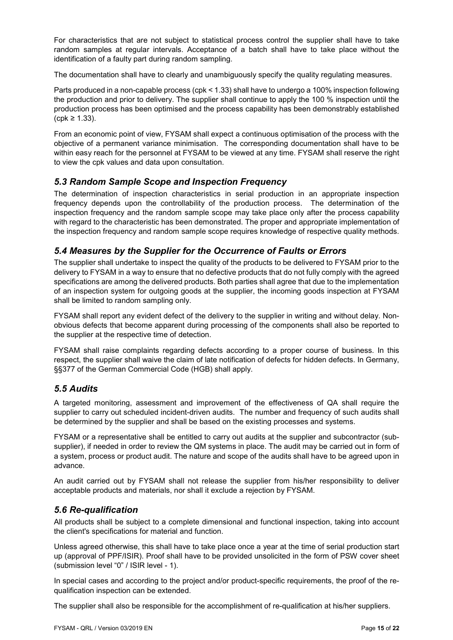For characteristics that are not subject to statistical process control the supplier shall have to take random samples at regular intervals. Acceptance of a batch shall have to take place without the identification of a faulty part during random sampling.

The documentation shall have to clearly and unambiguously specify the quality regulating measures.

Parts produced in a non-capable process (cpk < 1.33) shall have to undergo a 100% inspection following the production and prior to delivery. The supplier shall continue to apply the 100 % inspection until the production process has been optimised and the process capability has been demonstrably established (cpk ≥ 1.33).

From an economic point of view, FYSAM shall expect a continuous optimisation of the process with the objective of a permanent variance minimisation. The corresponding documentation shall have to be within easy reach for the personnel at FYSAM to be viewed at any time. FYSAM shall reserve the right to view the cpk values and data upon consultation.

#### *5.3 Random Sample Scope and Inspection Frequency*

The determination of inspection characteristics in serial production in an appropriate inspection frequency depends upon the controllability of the production process. The determination of the inspection frequency and the random sample scope may take place only after the process capability with regard to the characteristic has been demonstrated. The proper and appropriate implementation of the inspection frequency and random sample scope requires knowledge of respective quality methods.

#### *5.4 Measures by the Supplier for the Occurrence of Faults or Errors*

The supplier shall undertake to inspect the quality of the products to be delivered to FYSAM prior to the delivery to FYSAM in a way to ensure that no defective products that do not fully comply with the agreed specifications are among the delivered products. Both parties shall agree that due to the implementation of an inspection system for outgoing goods at the supplier, the incoming goods inspection at FYSAM shall be limited to random sampling only.

FYSAM shall report any evident defect of the delivery to the supplier in writing and without delay. Nonobvious defects that become apparent during processing of the components shall also be reported to the supplier at the respective time of detection.

FYSAM shall raise complaints regarding defects according to a proper course of business. In this respect, the supplier shall waive the claim of late notification of defects for hidden defects. In Germany, §§377 of the German Commercial Code (HGB) shall apply.

#### *5.5 Audits*

A targeted monitoring, assessment and improvement of the effectiveness of QA shall require the supplier to carry out scheduled incident-driven audits. The number and frequency of such audits shall be determined by the supplier and shall be based on the existing processes and systems.

FYSAM or a representative shall be entitled to carry out audits at the supplier and subcontractor (subsupplier), if needed in order to review the QM systems in place. The audit may be carried out in form of a system, process or product audit. The nature and scope of the audits shall have to be agreed upon in advance.

An audit carried out by FYSAM shall not release the supplier from his/her responsibility to deliver acceptable products and materials, nor shall it exclude a rejection by FYSAM.

#### *5.6 Re-qualification*

All products shall be subject to a complete dimensional and functional inspection, taking into account the client's specifications for material and function.

Unless agreed otherwise, this shall have to take place once a year at the time of serial production start up (approval of PPF/ISIR). Proof shall have to be provided unsolicited in the form of PSW cover sheet (submission level "0" / ISIR level - 1).

In special cases and according to the project and/or product-specific requirements, the proof of the requalification inspection can be extended.

The supplier shall also be responsible for the accomplishment of re-qualification at his/her suppliers.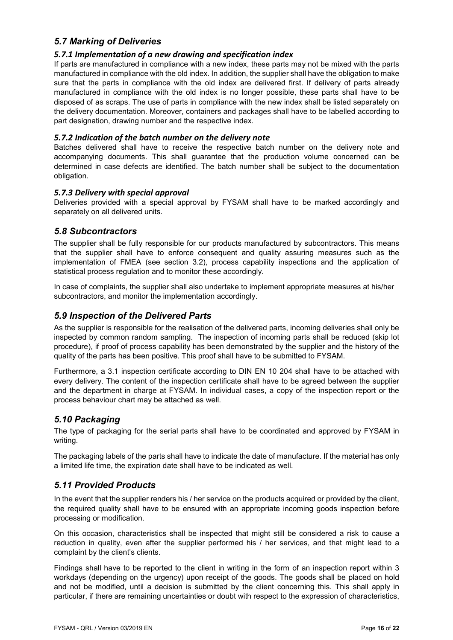#### *5.7 Marking of Deliveries*

#### *5.7.1 Implementation of a new drawing and specification index*

If parts are manufactured in compliance with a new index, these parts may not be mixed with the parts manufactured in compliance with the old index. In addition, the supplier shall have the obligation to make sure that the parts in compliance with the old index are delivered first. If delivery of parts already manufactured in compliance with the old index is no longer possible, these parts shall have to be disposed of as scraps. The use of parts in compliance with the new index shall be listed separately on the delivery documentation. Moreover, containers and packages shall have to be labelled according to part designation, drawing number and the respective index.

#### *5.7.2 Indication of the batch number on the delivery note*

Batches delivered shall have to receive the respective batch number on the delivery note and accompanying documents. This shall guarantee that the production volume concerned can be determined in case defects are identified. The batch number shall be subject to the documentation obligation.

#### *5.7.3 Delivery with special approval*

Deliveries provided with a special approval by FYSAM shall have to be marked accordingly and separately on all delivered units.

#### *5.8 Subcontractors*

The supplier shall be fully responsible for our products manufactured by subcontractors. This means that the supplier shall have to enforce consequent and quality assuring measures such as the implementation of FMEA (see section 3.2), process capability inspections and the application of statistical process regulation and to monitor these accordingly.

In case of complaints, the supplier shall also undertake to implement appropriate measures at his/her subcontractors, and monitor the implementation accordingly.

#### *5.9 Inspection of the Delivered Parts*

As the supplier is responsible for the realisation of the delivered parts, incoming deliveries shall only be inspected by common random sampling. The inspection of incoming parts shall be reduced (skip lot procedure), if proof of process capability has been demonstrated by the supplier and the history of the quality of the parts has been positive. This proof shall have to be submitted to FYSAM.

Furthermore, a 3.1 inspection certificate according to DIN EN 10 204 shall have to be attached with every delivery. The content of the inspection certificate shall have to be agreed between the supplier and the department in charge at FYSAM. In individual cases, a copy of the inspection report or the process behaviour chart may be attached as well.

#### *5.10 Packaging*

The type of packaging for the serial parts shall have to be coordinated and approved by FYSAM in writing.

The packaging labels of the parts shall have to indicate the date of manufacture. If the material has only a limited life time, the expiration date shall have to be indicated as well.

#### *5.11 Provided Products*

In the event that the supplier renders his / her service on the products acquired or provided by the client, the required quality shall have to be ensured with an appropriate incoming goods inspection before processing or modification.

On this occasion, characteristics shall be inspected that might still be considered a risk to cause a reduction in quality, even after the supplier performed his / her services, and that might lead to a complaint by the client's clients.

Findings shall have to be reported to the client in writing in the form of an inspection report within 3 workdays (depending on the urgency) upon receipt of the goods. The goods shall be placed on hold and not be modified, until a decision is submitted by the client concerning this. This shall apply in particular, if there are remaining uncertainties or doubt with respect to the expression of characteristics,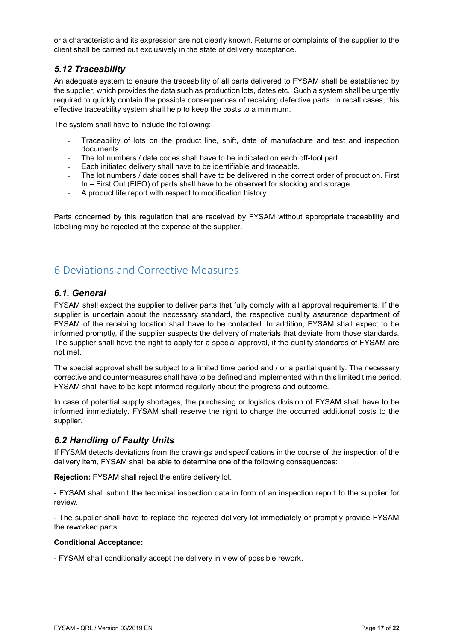or a characteristic and its expression are not clearly known. Returns or complaints of the supplier to the client shall be carried out exclusively in the state of delivery acceptance.

#### *5.12 Traceability*

An adequate system to ensure the traceability of all parts delivered to FYSAM shall be established by the supplier, which provides the data such as production lots, dates etc.. Such a system shall be urgently required to quickly contain the possible consequences of receiving defective parts. In recall cases, this effective traceability system shall help to keep the costs to a minimum.

The system shall have to include the following:

- Traceability of lots on the product line, shift, date of manufacture and test and inspection documents
- The lot numbers / date codes shall have to be indicated on each off-tool part.
- Each initiated delivery shall have to be identifiable and traceable.
- The lot numbers / date codes shall have to be delivered in the correct order of production. First In – First Out (FIFO) of parts shall have to be observed for stocking and storage.
- A product life report with respect to modification history.

Parts concerned by this regulation that are received by FYSAM without appropriate traceability and labelling may be rejected at the expense of the supplier.

# 6 Deviations and Corrective Measures

#### *6.1. General*

FYSAM shall expect the supplier to deliver parts that fully comply with all approval requirements. If the supplier is uncertain about the necessary standard, the respective quality assurance department of FYSAM of the receiving location shall have to be contacted. In addition, FYSAM shall expect to be informed promptly, if the supplier suspects the delivery of materials that deviate from those standards. The supplier shall have the right to apply for a special approval, if the quality standards of FYSAM are not met.

The special approval shall be subject to a limited time period and / or a partial quantity. The necessary corrective and countermeasures shall have to be defined and implemented within this limited time period. FYSAM shall have to be kept informed regularly about the progress and outcome.

In case of potential supply shortages, the purchasing or logistics division of FYSAM shall have to be informed immediately. FYSAM shall reserve the right to charge the occurred additional costs to the supplier.

#### *6.2 Handling of Faulty Units*

If FYSAM detects deviations from the drawings and specifications in the course of the inspection of the delivery item, FYSAM shall be able to determine one of the following consequences:

**Rejection:** FYSAM shall reject the entire delivery lot.

- FYSAM shall submit the technical inspection data in form of an inspection report to the supplier for review.

- The supplier shall have to replace the rejected delivery lot immediately or promptly provide FYSAM the reworked parts.

#### **Conditional Acceptance:**

- FYSAM shall conditionally accept the delivery in view of possible rework.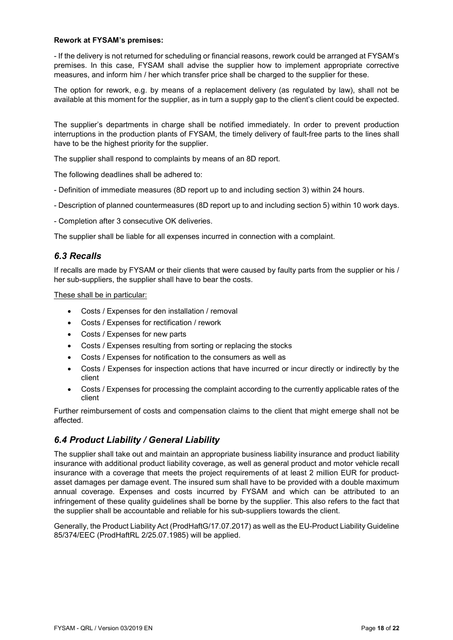#### **Rework at FYSAM's premises:**

- If the delivery is not returned for scheduling or financial reasons, rework could be arranged at FYSAM's premises. In this case, FYSAM shall advise the supplier how to implement appropriate corrective measures, and inform him / her which transfer price shall be charged to the supplier for these.

The option for rework, e.g. by means of a replacement delivery (as regulated by law), shall not be available at this moment for the supplier, as in turn a supply gap to the client's client could be expected.

The supplier's departments in charge shall be notified immediately. In order to prevent production interruptions in the production plants of FYSAM, the timely delivery of fault-free parts to the lines shall have to be the highest priority for the supplier.

The supplier shall respond to complaints by means of an 8D report.

The following deadlines shall be adhered to:

- Definition of immediate measures (8D report up to and including section 3) within 24 hours.
- Description of planned countermeasures (8D report up to and including section 5) within 10 work days.
- Completion after 3 consecutive OK deliveries.

The supplier shall be liable for all expenses incurred in connection with a complaint.

#### *6.3 Recalls*

If recalls are made by FYSAM or their clients that were caused by faulty parts from the supplier or his / her sub-suppliers, the supplier shall have to bear the costs.

#### These shall be in particular:

- Costs / Expenses for den installation / removal
- Costs / Expenses for rectification / rework
- Costs / Expenses for new parts
- Costs / Expenses resulting from sorting or replacing the stocks
- Costs / Expenses for notification to the consumers as well as
- Costs / Expenses for inspection actions that have incurred or incur directly or indirectly by the client
- Costs / Expenses for processing the complaint according to the currently applicable rates of the client

Further reimbursement of costs and compensation claims to the client that might emerge shall not be affected.

#### *6.4 Product Liability / General Liability*

The supplier shall take out and maintain an appropriate business liability insurance and product liability insurance with additional product liability coverage, as well as general product and motor vehicle recall insurance with a coverage that meets the project requirements of at least 2 million EUR for productasset damages per damage event. The insured sum shall have to be provided with a double maximum annual coverage. Expenses and costs incurred by FYSAM and which can be attributed to an infringement of these quality guidelines shall be borne by the supplier. This also refers to the fact that the supplier shall be accountable and reliable for his sub-suppliers towards the client.

Generally, the Product Liability Act (ProdHaftG/17.07.2017) as well as the EU-Product Liability Guideline 85/374/EEC (ProdHaftRL 2/25.07.1985) will be applied.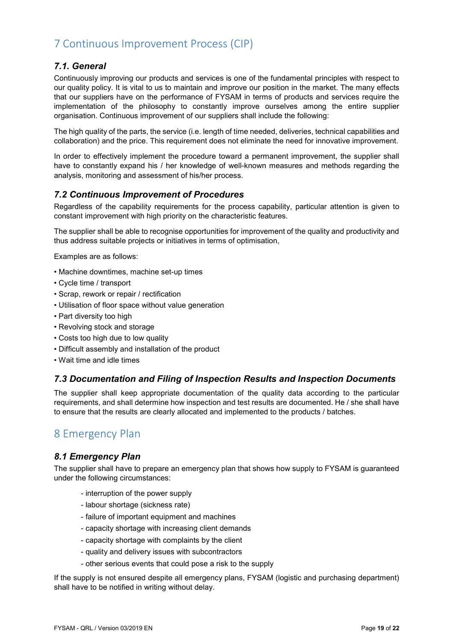# 7 Continuous Improvement Process (CIP)

#### *7.1. General*

Continuously improving our products and services is one of the fundamental principles with respect to our quality policy. It is vital to us to maintain and improve our position in the market. The many effects that our suppliers have on the performance of FYSAM in terms of products and services require the implementation of the philosophy to constantly improve ourselves among the entire supplier organisation. Continuous improvement of our suppliers shall include the following:

The high quality of the parts, the service (i.e. length of time needed, deliveries, technical capabilities and collaboration) and the price. This requirement does not eliminate the need for innovative improvement.

In order to effectively implement the procedure toward a permanent improvement, the supplier shall have to constantly expand his / her knowledge of well-known measures and methods regarding the analysis, monitoring and assessment of his/her process.

#### *7.2 Continuous Improvement of Procedures*

Regardless of the capability requirements for the process capability, particular attention is given to constant improvement with high priority on the characteristic features.

The supplier shall be able to recognise opportunities for improvement of the quality and productivity and thus address suitable projects or initiatives in terms of optimisation,

Examples are as follows:

- Machine downtimes, machine set-up times
- Cycle time / transport
- Scrap, rework or repair / rectification
- Utilisation of floor space without value generation
- Part diversity too high
- Revolving stock and storage
- Costs too high due to low quality
- Difficult assembly and installation of the product
- Wait time and idle times

#### *7.3 Documentation and Filing of Inspection Results and Inspection Documents*

The supplier shall keep appropriate documentation of the quality data according to the particular requirements, and shall determine how inspection and test results are documented. He / she shall have to ensure that the results are clearly allocated and implemented to the products / batches.

### 8 Emergency Plan

#### *8.1 Emergency Plan*

The supplier shall have to prepare an emergency plan that shows how supply to FYSAM is guaranteed under the following circumstances:

- interruption of the power supply
- labour shortage (sickness rate)
- failure of important equipment and machines
- capacity shortage with increasing client demands
- capacity shortage with complaints by the client
- quality and delivery issues with subcontractors
- other serious events that could pose a risk to the supply

If the supply is not ensured despite all emergency plans, FYSAM (logistic and purchasing department) shall have to be notified in writing without delay.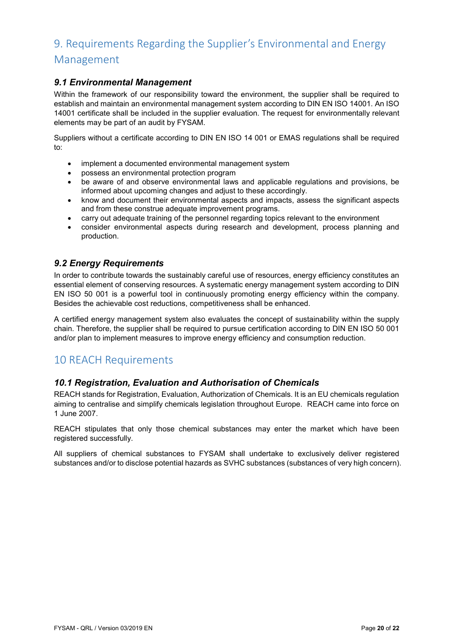# 9. Requirements Regarding the Supplier's Environmental and Energy Management

#### *9.1 Environmental Management*

Within the framework of our responsibility toward the environment, the supplier shall be required to establish and maintain an environmental management system according to DIN EN ISO 14001. An ISO 14001 certificate shall be included in the supplier evaluation. The request for environmentally relevant elements may be part of an audit by FYSAM.

Suppliers without a certificate according to DIN EN ISO 14 001 or EMAS regulations shall be required to:

- implement a documented environmental management system
- possess an environmental protection program
- be aware of and observe environmental laws and applicable regulations and provisions, be informed about upcoming changes and adjust to these accordingly.
- know and document their environmental aspects and impacts, assess the significant aspects and from these construe adequate improvement programs.
- carry out adequate training of the personnel regarding topics relevant to the environment
- consider environmental aspects during research and development, process planning and production.

#### *9.2 Energy Requirements*

In order to contribute towards the sustainably careful use of resources, energy efficiency constitutes an essential element of conserving resources. A systematic energy management system according to DIN EN ISO 50 001 is a powerful tool in continuously promoting energy efficiency within the company. Besides the achievable cost reductions, competitiveness shall be enhanced.

A certified energy management system also evaluates the concept of sustainability within the supply chain. Therefore, the supplier shall be required to pursue certification according to DIN EN ISO 50 001 and/or plan to implement measures to improve energy efficiency and consumption reduction.

### 10 REACH Requirements

#### *10.1 Registration, Evaluation and Authorisation of Chemicals*

REACH stands for Registration, Evaluation, Authorization of Chemicals. It is an EU chemicals regulation aiming to centralise and simplify chemicals legislation throughout Europe. REACH came into force on 1 June 2007.

REACH stipulates that only those chemical substances may enter the market which have been registered successfully.

All suppliers of chemical substances to FYSAM shall undertake to exclusively deliver registered substances and/or to disclose potential hazards as SVHC substances (substances of very high concern).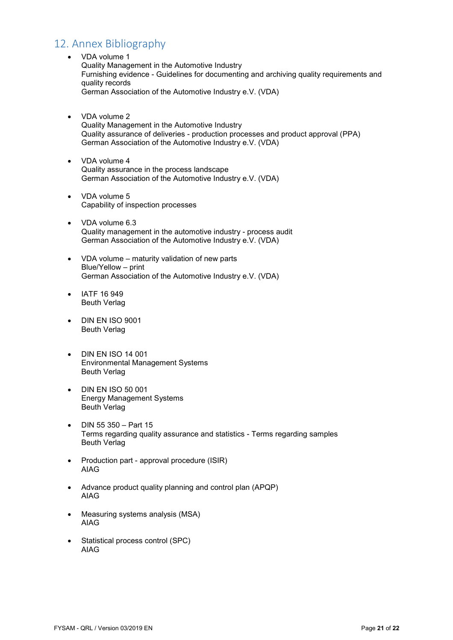# 12. Annex Bibliography

- VDA volume 1 Quality Management in the Automotive Industry Furnishing evidence - Guidelines for documenting and archiving quality requirements and quality records German Association of the Automotive Industry e.V. (VDA)
- VDA volume 2 Quality Management in the Automotive Industry Quality assurance of deliveries - production processes and product approval (PPA) German Association of the Automotive Industry e.V. (VDA)
- VDA volume 4 Quality assurance in the process landscape German Association of the Automotive Industry e.V. (VDA)
- VDA volume 5 Capability of inspection processes
- VDA volume 6.3 Quality management in the automotive industry - process audit German Association of the Automotive Industry e.V. (VDA)
- VDA volume maturity validation of new parts Blue/Yellow – print German Association of the Automotive Industry e.V. (VDA)
- IATF 16 949 Beuth Verlag
- DIN EN ISO 9001 Beuth Verlag
- DIN EN ISO 14 001 Environmental Management Systems Beuth Verlag
- DIN EN ISO 50 001 Energy Management Systems Beuth Verlag
- DIN 55 350 Part 15 Terms regarding quality assurance and statistics - Terms regarding samples Beuth Verlag
- Production part approval procedure (ISIR) AIAG
- Advance product quality planning and control plan (APQP) AIAG
- Measuring systems analysis (MSA) AIAG
- Statistical process control (SPC) AIAG